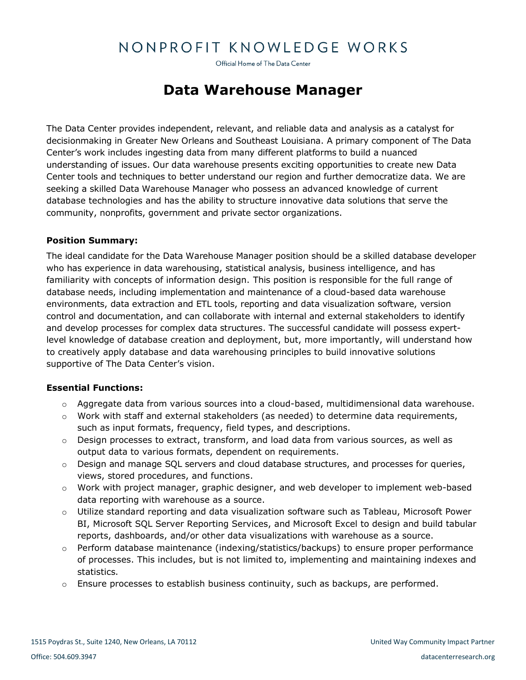# NONPROFIT KNOWLEDGE WORKS

Official Home of The Data Center

# **Data Warehouse Manager**

The Data Center provides independent, relevant, and reliable data and analysis as a catalyst for decisionmaking in Greater New Orleans and Southeast Louisiana. A primary component of The Data Center's work includes ingesting data from many different platforms to build a nuanced understanding of issues. Our data warehouse presents exciting opportunities to create new Data Center tools and techniques to better understand our region and further democratize data. We are seeking a skilled Data Warehouse Manager who possess an advanced knowledge of current database technologies and has the ability to structure innovative data solutions that serve the community, nonprofits, government and private sector organizations.

## **Position Summary:**

The ideal candidate for the Data Warehouse Manager position should be a skilled database developer who has experience in data warehousing, statistical analysis, business intelligence, and has familiarity with concepts of information design. This position is responsible for the full range of database needs, including implementation and maintenance of a cloud-based data warehouse environments, data extraction and ETL tools, reporting and data visualization software, version control and documentation, and can collaborate with internal and external stakeholders to identify and develop processes for complex data structures. The successful candidate will possess expertlevel knowledge of database creation and deployment, but, more importantly, will understand how to creatively apply database and data warehousing principles to build innovative solutions supportive of The Data Center's vision.

#### **Essential Functions:**

- o Aggregate data from various sources into a cloud-based, multidimensional data warehouse.
- $\circ$  Work with staff and external stakeholders (as needed) to determine data requirements, such as input formats, frequency, field types, and descriptions.
- $\circ$  Design processes to extract, transform, and load data from various sources, as well as output data to various formats, dependent on requirements.
- $\circ$  Design and manage SQL servers and cloud database structures, and processes for queries, views, stored procedures, and functions.
- o Work with project manager, graphic designer, and web developer to implement web-based data reporting with warehouse as a source.
- o Utilize standard reporting and data visualization software such as Tableau, Microsoft Power BI, Microsoft SQL Server Reporting Services, and Microsoft Excel to design and build tabular reports, dashboards, and/or other data visualizations with warehouse as a source.
- o Perform database maintenance (indexing/statistics/backups) to ensure proper performance of processes. This includes, but is not limited to, implementing and maintaining indexes and statistics.
- $\circ$  Ensure processes to establish business continuity, such as backups, are performed.